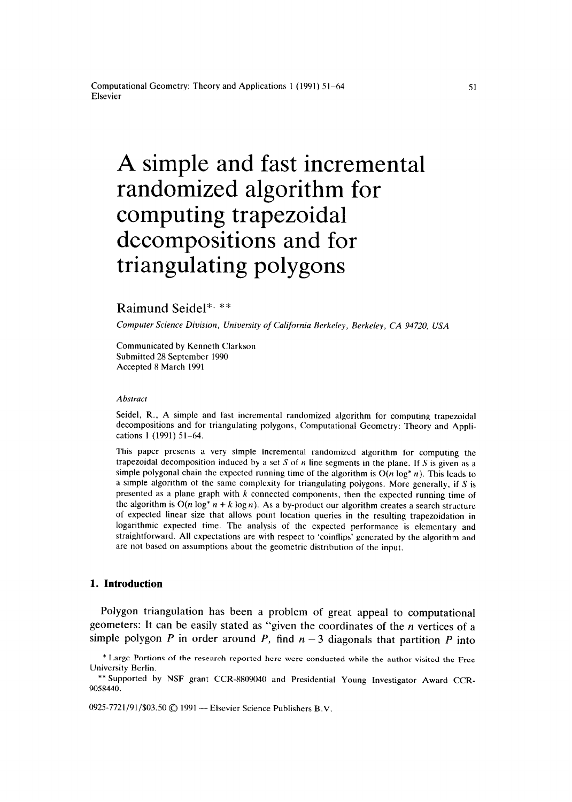# A simple and fast incremental randomized algorithm for computing trapezoidal decompositions and for triangulating polygons

## Raimund Seidel\*, \*\*

*Computer Science Division, University of California Berkeley, Berkeley, CA* 94720, USA

Communicated by Kenneth Clarkson Submitted 28 September 1990 Accepted 8 March 1991

#### *Abstract*

Seidel, R., A simple and fast incremental randomized algorithm for computing trapezoidal decompositions and for triangulating polygons, Computational Geometry: Theory and Applications 1 (1991) 51-64.

This paper presents a very simple incremental randomized algorithm for computing the trapezoidal decomposition induced by a set S of n line segments in the plane. If S is given as a simple polygonal chain the expected running time of the algorithm is  $O(n \log^* n)$ . This leads to a simple algorithm of the same complexity for triangulating polygons. More generally, if S is presented as a plane graph with *k* connected components, then the expected running time of the algorithm is  $O(n \log^* n + k \log n)$ . As a by-product our algorithm creates a search structure of expected linear size that allows point location queries in the resulting trapezoidation in logarithmic expected time. The analysis of the expected performance is elementary and straightforward. All expectations are with respect to 'coinflips' generated by the algorithm and are not based on assumptions about the geometric distribution of the input.

## **1. Introduction**

Polygon triangulation has been a problem of great appeal to computational geometers: It can be easily stated as "given the coordinates of the  $n$  vertices of a simple polygon *P* in order around *P*, find  $n - 3$  diagonals that partition *P* into

0925-7721/91/\$03.50 C 1991 - Elsevier Science Publishers B.V.

<sup>\*</sup> Large Portions of the research reported here were conducted while the author visited the Free University Berlin.

<sup>\*\*</sup>Supported by NSF grant CCR-8809040 and Presidential Young Investigator Award CCR-9058440.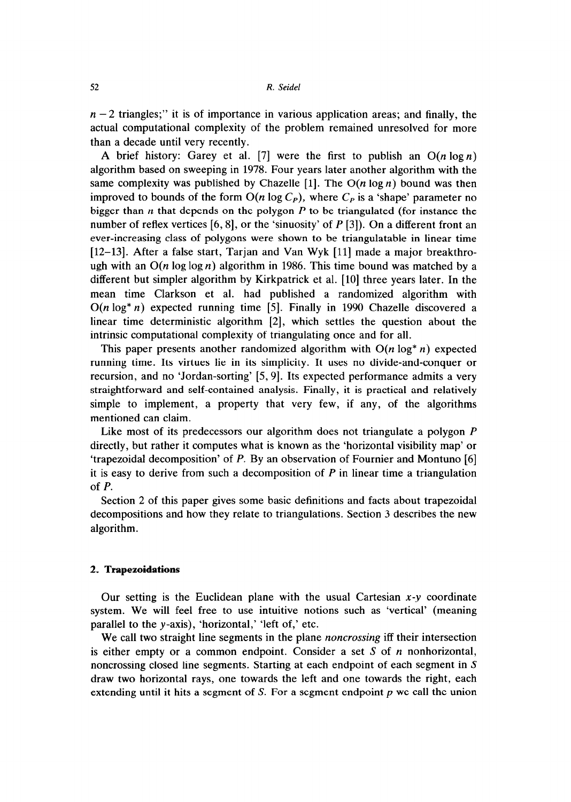$n-2$  triangles;" it is of importance in various application areas; and finally, the actual computational complexity of the problem remained unresolved for more than a decade until very recently.

A brief history: Garey et al. [7] were the first to publish an  $O(n \log n)$ algorithm based on sweeping in 1978. Four years later another algorithm with the same complexity was published by Chazelle [1]. The  $O(n \log n)$  bound was then improved to bounds of the form  $O(n \log C_p)$ , where  $C_p$  is a 'shape' parameter no bigger than  $n$  that depends on the polygon  $P$  to be triangulated (for instance the number of reflex vertices [6,8], or the 'sinuosity' of *P* [3]). On a different front an ever-increasing class of polygons were shown to be triangulatable in linear time [12-131. After a false start, Tarjan and Van Wyk [ll] made a major breakthrough with an  $O(n \log \log n)$  algorithm in 1986. This time bound was matched by a different but simpler algorithm by Kirkpatrick et al. [10] three years later. In the mean time Clarkson et al. had published a randomized algorithm with  $O(n \log^* n)$  expected running time [5]. Finally in 1990 Chazelle discovered a linear time deterministic algorithm [2], which settles the question about the intrinsic computational complexity of triangulating once and for all.

This paper presents another randomized algorithm with  $O(n \log^* n)$  expected running time. Its virtues lie in its simplicity. It uses no divide-and-conquer or recursion, and no 'Jordan-sorting' [5,9]. Its expected performance admits a very straightforward and self-contained analysis. Finally, it is practical and relatively simple to implement, a property that very few, if any, of the algorithms mentioned can claim.

Like most of its predecessors our algorithm does not triangulate a polygon *P*  directly, but rather it computes what is known as the 'horizontal visibility map' or 'trapezoidal decomposition' of *P.* By an observation of Fournier and Montuno [6] it is easy to derive from such a decomposition of *P* in linear time a triangulation of *P.* 

Section 2 of this paper gives some basic definitions and facts about trapezoidal decompositions and how they relate to triangulations. Section 3 describes the new algorithm.

#### 2. **Trapezoidations**

Our setting is the Euclidean plane with the usual Cartesian  $x-y$  coordinate system. We will feel free to use intuitive notions such as 'vertical' (meaning parallel to the y-axis), 'horizontal,' 'left of,' etc.

We call two straight line segments in the plane noncrossing iff their intersection is either empty or a common endpoint. Consider a set S of  $n$  nonhorizontal, noncrossing closed line segments. Starting at each endpoint of each segment in S draw two horizontal rays, one towards the left and one towards the right, each extending until it hits a segment of S. For a segment endpoint  $p$  we call the union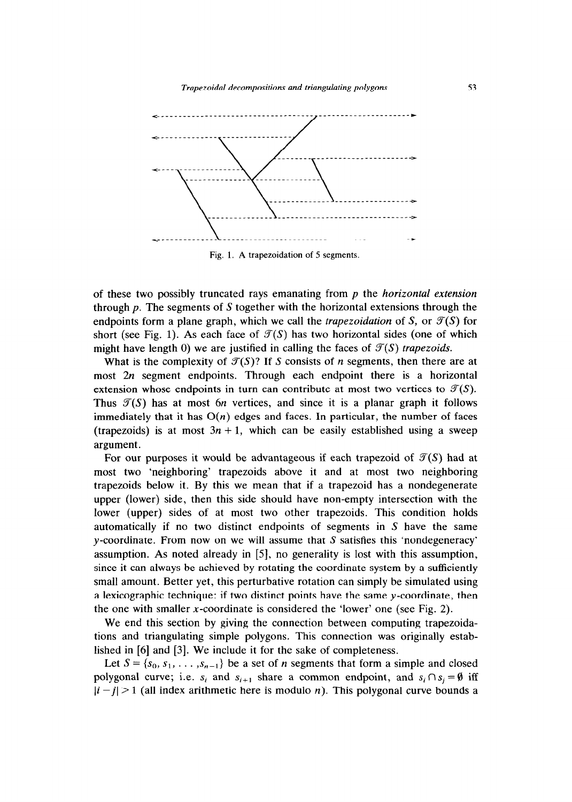

**Fig. 1. A trapezoidation of 5 segments.** 

of these two possibly truncated rays emanating from *p* the *horizontal extension*  through  $p$ . The segments of  $S$  together with the horizontal extensions through the endpoints form a plane graph, which we call the *trapezoidation* of S, or  $\mathcal{T}(S)$  for short (see Fig. 1). As each face of  $\mathcal{T}(S)$  has two horizontal sides (one of which might have length 0) we are justified in calling the faces of  $\mathcal{T}(S)$  *trapezoids.* 

What is the complexity of  $\mathcal{T}(S)$ ? If S consists of *n* segments, then there are at most 2n segment endpoints. Through each endpoint there is a horizontal extension whose endpoints in turn can contribute at most two vertices to  $\mathcal{T}(S)$ . Thus  $\mathcal{T}(S)$  has at most 6n vertices, and since it is a planar graph it follows immediately that it has  $O(n)$  edges and faces. In particular, the number of faces (trapezoids) is at most  $3n + 1$ , which can be easily established using a sweep argument.

For our purposes it would be advantageous if each trapezoid of  $\mathcal{T}(S)$  had at most two 'neighboring' trapezoids above it and at most two neighboring trapezoids below it. By this we mean that if a trapezoid has a nondegenerate upper (lower) side, then this side should have non-empty intersection with the lower (upper) sides of at most two other trapezoids. This condition holds automatically if no two distinct endpoints of segments in S have the same  $y$ -coordinate. From now on we will assume that S satisfies this 'nondegeneracy' assumption. As noted already in [5], no generality is lost with this assumption, since it can always be achieved by rotating the coordinate system by a sufficiently small amount. Better yet, this perturbative rotation can simply be simulated using a lexicographic technique: if two distinct points have the same  $\nu$ -coordinate, then the one with smaller x-coordinate is considered the 'lower' one (see Fig. 2).

We end this section by giving the connection between computing trapezoidations and triangulating simple polygons. This connection was originally established in [6] and [3]. We include it for the sake of completeness.

Let  $S = \{s_0, s_1, \ldots, s_{n-1}\}\$  be a set of *n* segments that form a simple and closed polygonal curve; i.e.  $s_i$  and  $s_{i+1}$  share a common endpoint, and  $s_i \cap s_i = \emptyset$  iff  $|i - j| > 1$  (all index arithmetic here is modulo *n*). This polygonal curve bounds a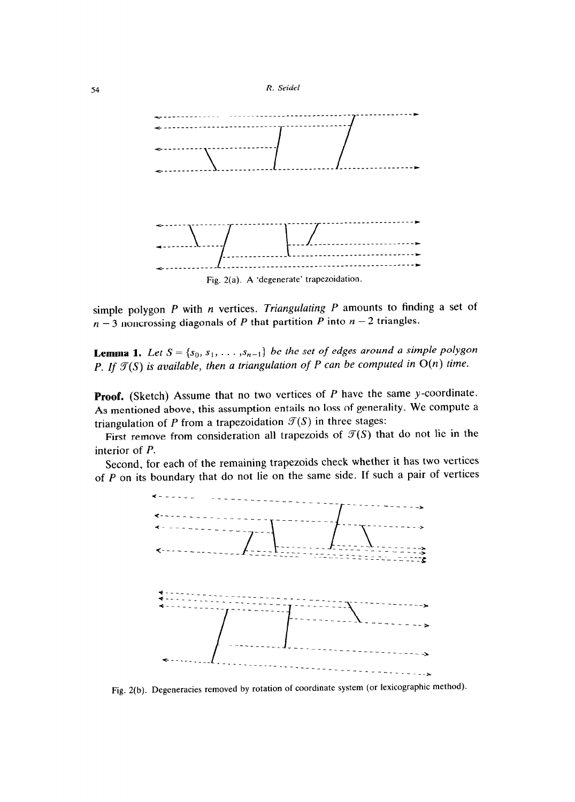

simple polygon *P* with n vertices. *Triangulating P* amounts to finding a set of  $n-3$  noncrossing diagonals of *P* that partition *P* into  $n-2$  triangles.

**Lemma 1.** Let  $S = \{s_0, s_1, \ldots, s_{n-1}\}$  be the set of edges around a simple polygor *P. If*  $\mathcal{T}(S)$  *is available, then a triangulation of P can be computed in*  $O(n)$  *time.* 

**Proof.** (Sketch) Assume that no two vertices of *P* have the same y-coordinate. As mentioned above, this assumption entails no loss of generality. We compute a triangulation of *P* from a trapezoidation  $\mathcal{T}(S)$  in three stages:

First remove from consideration all trapezoids of  $\mathcal{T}(S)$  that do not lie in the interior of *P.* 

Second, for each of the remaining trapezoids check whether it has two vertices of *P* on its boundary that do not lie on the same side. If such a pair of vertices



Fig. 2(b). Degeneracies removed by rotation of coordinate system (or lexicographic method).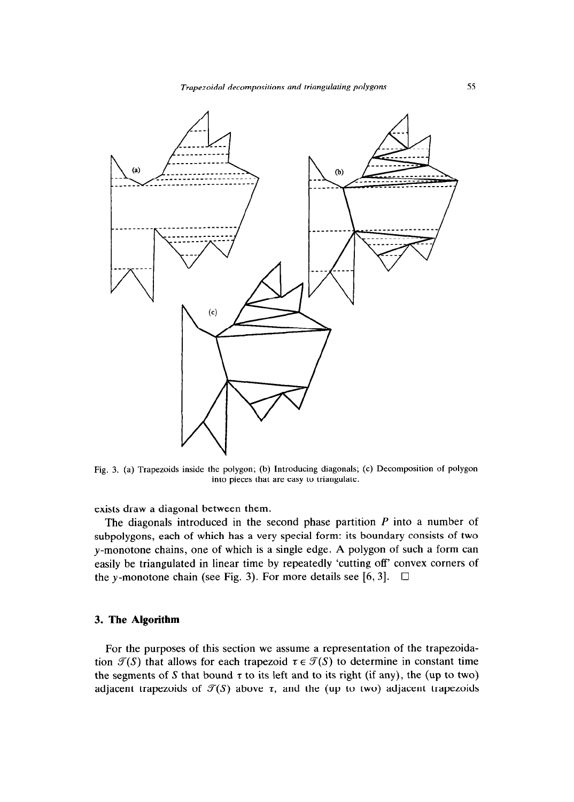*Trapezoidal decompositions and mriangulating polygons* 



Fig. 3. (a) Trapezoids inside the polygon; (b) Introducing diagonals; (c) Decomposition of polygon into pieces that are easy to triangulate.

exists draw a diagonal between them.

The diagonals introduced in the second phase partition *P* into a number of subpolygons, each of which has a very special form: its boundary consists of two y-monotone chains, one of which is a single edge. A polygon of such a form can easily be triangulated in linear time by repeatedly 'cutting off' convex corners of the y-monotone chain (see Fig. 3). For more details see [6, 3].  $\Box$ 

## 3. **The Algorithm**

For the purposes of this section we assume a representation of the trapezoidation  $\mathcal{T}(S)$  that allows for each trapezoid  $\tau \in \mathcal{T}(S)$  to determine in constant time the segments of S that bound  $\tau$  to its left and to its right (if any), the (up to two) adjacent trapezoids of  $\mathcal{T}(S)$  above  $\tau$ , and the (up to two) adjacent trapezoids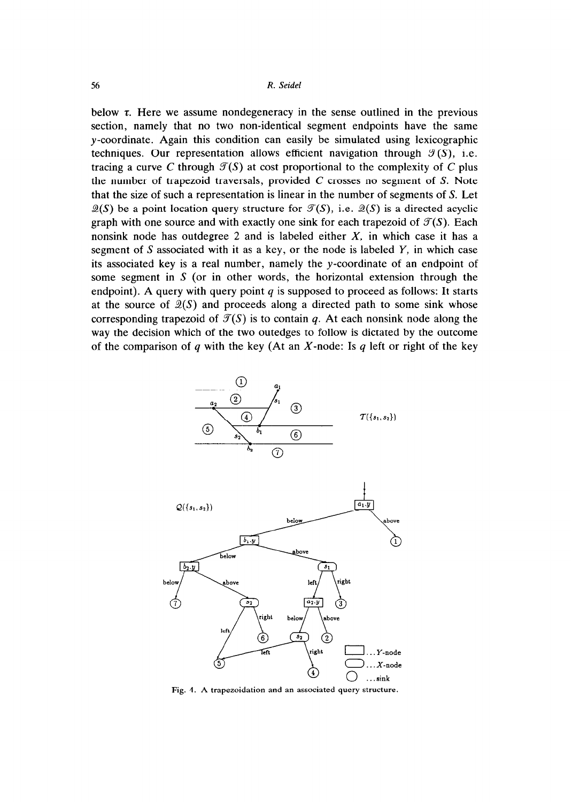below  $\tau$ . Here we assume nondegeneracy in the sense outlined in the previous section, namely that no two non-identical segment endpoints have the same y-coordinate. Again this condition can easily be simulated using lexicographic techniques. Our representation allows efficient navigation through  $\mathcal{T}(S)$ , i.e. tracing a curve C through  $\mathcal{T}(S)$  at cost proportional to the complexity of C plus the number of trapezoid traversals, provided  $C$  crosses no segment of  $S$ . Note that the size of such a representation is linear in the number of segments of S. Let  $\mathcal{Q}(S)$  be a point location query structure for  $\mathcal{T}(S)$ , i.e.  $\mathcal{Q}(S)$  is a directed acyclic graph with one source and with exactly one sink for each trapezoid of  $\mathcal{T}(S)$ . Each nonsink node has outdegree 2 and is labeled either  $X$ , in which case it has a segment of  $S$  associated with it as a key, or the node is labeled  $Y$ , in which case its associated key is a real number, namely the y-coordinate of an endpoint of some segment in  $S$  (or in other words, the horizontal extension through the endpoint). A query with query point q is supposed to proceed as follows: It starts at the source of  $\mathcal{Q}(S)$  and proceeds along a directed path to some sink whose corresponding trapezoid of  $\mathcal{T}(S)$  is to contain q. At each nonsink node along the way the decision which of the two outedges to follow is dictated by the outcome of the comparison of q with the key (At an  $X$ -node: Is q left or right of the key



**Fig. 4. A trapezoidation and an associated query structure.**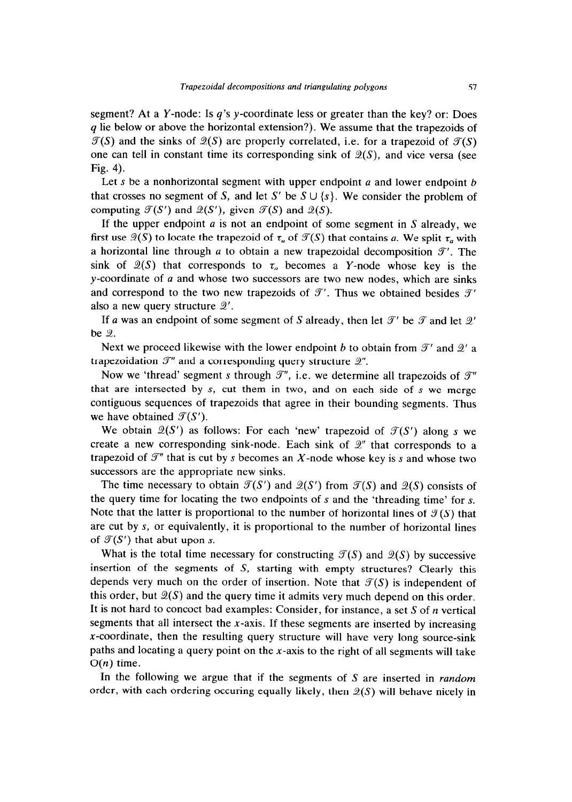segment? At a Y-node: Is *q's* y-coordinate less or greater than the key? or: Does q lie below or above the horizontal extension?). We assume that the trapezoids of  $\mathcal{T}(S)$  and the sinks of  $\mathcal{Q}(S)$  are properly correlated, i.e. for a trapezoid of  $\mathcal{T}(S)$ one can tell in constant time its corresponding sink of  $\mathcal{Q}(S)$ , and vice versa (see Fig. 4).

Let s be a nonhorizontal segment with upper endpoint a and lower endpoint **b** that crosses no segment of S, and let S' be  $S \cup \{s\}$ . We consider the problem of computing  $\mathcal{T}(S')$  and  $\mathcal{Q}(S')$ , given  $\mathcal{T}(S)$  and  $\mathcal{Q}(S)$ .

If the upper endpoint  $a$  is not an endpoint of some segment in  $S$  already, we first use  $\mathcal{Q}(S)$  to locate the trapezoid of  $\tau_a$  of  $\mathcal{T}(S)$  that contains a. We split  $\tau_a$  with a horizontal line through  $a$  to obtain a new trapezoidal decomposition  $\mathcal{T}'$ . The sink of  $\mathcal{Q}(S)$  that corresponds to  $\tau_a$  becomes a Y-node whose key is the y-coordinate of *a* and whose two successors are two new nodes, which are sinks and correspond to the two new trapezoids of  $\mathcal{T}'$ . Thus we obtained besides  $\mathcal{T}'$ also a new query structure 2'.

If a was an endpoint of some segment of S already, then let  $\mathcal{T}'$  be  $\mathcal T$  and let  $\mathcal{Q}'$ be  $2$ .

Next we proceed likewise with the lower endpoint *b* to obtain from  $\mathcal{T}'$  and  $\mathcal{Q}'$  a trapezoidation  $\mathcal{T}^{\prime\prime}$  and a corresponding query structure  $\mathcal{Q}^{\prime\prime}$ .

Now we 'thread' segment s through  $\mathcal{T}''$ , i.e. we determine all trapezoids of  $\mathcal{T}''$ that are intersected by  $s$ , cut them in two, and on each side of  $s$  we merge contiguous sequences of trapezoids that agree in their bounding segments. Thus we have obtained  $\mathcal{T}(S')$ .

We obtain  $\mathcal{Q}(S')$  as follows: For each 'new' trapezoid of  $\mathcal{T}(S')$  along s we create a new corresponding sink-node. Each sink of  $2<sup>n</sup>$  that corresponds to a trapezoid of  $\mathcal{T}''$  that is cut by s becomes an X-node whose key is s and whose two successors are the appropriate new sinks.

The time necessary to obtain  $\mathcal{T}(S')$  and  $\mathcal{Q}(S')$  from  $\mathcal{T}(S)$  and  $\mathcal{Q}(S)$  consists of the query time for locating the two endpoints of s and the 'threading time' for s. Note that the latter is proportional to the number of horizontal lines of  $\mathcal{T}(S)$  that are cut by s, or equivalently, it is proportional to the number of horizontal lines of  $\mathcal{T}(S')$  that abut upon s.

What is the total time necessary for constructing  $\mathcal{T}(S)$  and  $\mathcal{Q}(S)$  by successive insertion of the segments of S, starting with empty structures? Clearly this depends very much on the order of insertion. Note that  $\mathcal{T}(S)$  is independent of this order, but  $\mathcal{Q}(S)$  and the query time it admits very much depend on this order. It is not hard to concoct bad examples: Consider, for instance, a set S of n vertical segments that all intersect the  $x$ -axis. If these segments are inserted by increasing  $x$ -coordinate, then the resulting query structure will have very long source-sink paths and locating a query point on the  $x$ -axis to the right of all segments will take  $O(n)$  time.

In the following we argue that if the segments of S are inserted in *random*  order, with each ordering occuring equally likely, then  $\mathcal{Q}(S)$  will behave nicely in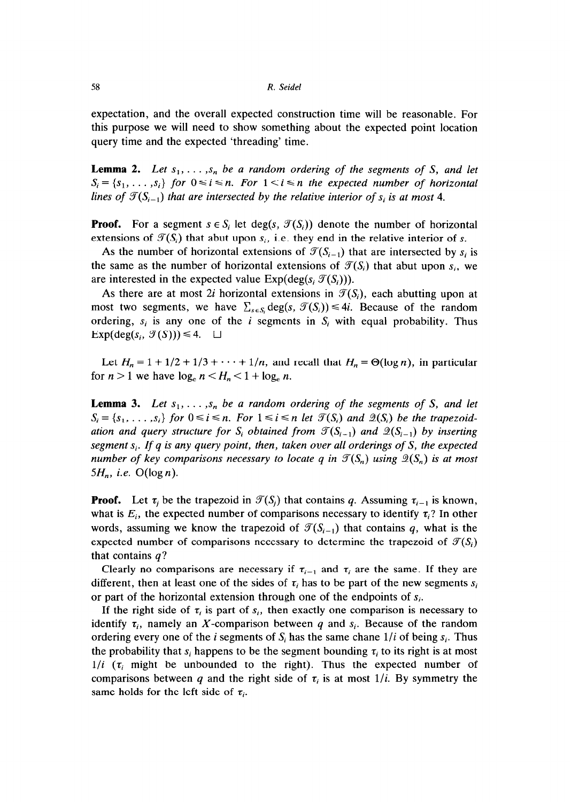expectation, and the overall expected construction time will be reasonable. For this purpose we will need to show something about the expected point location query time and the expected 'threading' time.

**Lemma 2.** Let  $s_1, \ldots, s_n$  be a random ordering of the segments of S, and let  $S_i = \{s_1, \ldots, s_i\}$  *for*  $0 \le i \le n$ *. For*  $1 \le i \le n$  *the expected number of horizontal lines of*  $\mathcal{T}(S_{i-1})$  *that are intersected by the relative interior of s<sub>i</sub> is at most* 4.

**Proof.** For a segment  $s \in S_i$  let deg(s,  $\mathcal{T}(S_i)$ ) denote the number of horizontal extensions of  $\mathcal{T}(S_i)$  that abut upon  $s_i$ , i.e. they end in the relative interior of s.

As the number of horizontal extensions of  $\mathcal{T}(S_{i-1})$  that are intersected by  $s_i$  is the same as the number of horizontal extensions of  $\mathcal{T}(S_i)$  that abut upon  $s_i$ , we are interested in the expected value  $Exp(deg(s, \mathcal{T}(S_i)))$ .

As there are at most 2i horizontal extensions in  $\mathcal{T}(S_i)$ , each abutting upon at most two segments, we have  $\sum_{s \in S_i} \deg(s, \mathcal{T}(S_i)) \leq 4i$ . Because of the random ordering,  $s_i$  is any one of the *i* segments in  $S_i$  with equal probability. Thus  $Exp(deg(s_i, \mathcal{T}(S))) \leq 4. \quad \Box$ 

Let  $H_n = 1 + 1/2 + 1/3 + \cdots + 1/n$ , and recall that  $H_n = \Theta(\log n)$ , in particular for  $n>1$  we have  $log_e n < H_n < 1 + log_e n$ .

**Lemma 3.** Let  $s_1, \ldots, s_n$  be a random ordering of the segments of S, and let  $S_i = \{s_1, \ldots, s_i\}$  for  $0 \le i \le n$ . For  $1 \le i \le n$  let  $\mathcal{T}(S_i)$  and  $\mathcal{Q}(S_i)$  be the trapezoid*ation and query structure for*  $S_i$  *obtained from*  $\mathcal{T}(S_{i-1})$  *and*  $\mathcal{Q}(S_{i-1})$  *by inserting segment si. If q is any query point, then, taken over all orderings of S, the expected number of key comparisons necessary to locate q in*  $\mathcal{T}(S_n)$  *using*  $\mathcal{Q}(S_n)$  *is at most .5H,, i.e. O(logn).* 

**Proof.** Let  $\tau_i$  be the trapezoid in  $\mathcal{T}(S_i)$  that contains *q*. Assuming  $\tau_{i-1}$  is known, what is  $E_i$ , the expected number of comparisons necessary to identify  $\tau_i$ ? In other words, assuming we know the trapezoid of  $\mathcal{T}(S_{i-1})$  that contains q, what is the expected number of comparisons necessary to determine the trapezoid of  $\mathcal{T}(S_i)$ that contains *q?* 

Clearly no comparisons are necessary if  $\tau_{i-1}$  and  $\tau_i$  are the same. If they are different, then at least one of the sides of  $\tau_i$  has to be part of the new segments  $s_i$ or part of the horizontal extension through one of the endpoints of  $s_i$ .

If the right side of  $\tau_i$ , is part of  $s_i$ , then exactly one comparison is necessary to identify  $\tau_i$ , namely an X-comparison between q and  $s_i$ . Because of the random ordering every one of the *i* segments of  $S_i$  has the same chane  $1/i$  of being  $s_i$ . Thus the probability that  $s_i$  happens to be the segment bounding  $\tau_i$  to its right is at most  $1/i$  ( $\tau_i$  might be unbounded to the right). Thus the expected number of comparisons between q and the right side of  $\tau_i$  is at most  $1/i$ . By symmetry the same holds for the left side of  $\tau_i$ .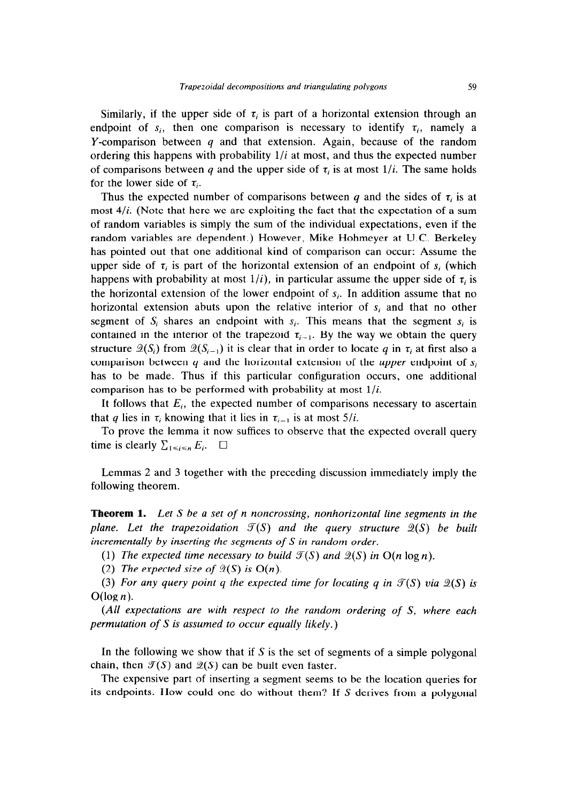Similarly, if the upper side of  $\tau_i$  is part of a horizontal extension through an endpoint of  $s_i$ , then one comparison is necessary to identify  $\tau_i$ , namely a Y-comparison between *q* and that extension. Again, because of the random ordering this happens with probability  $1/i$  at most, and thus the expected number of comparisons between *q* and the upper side of  $\tau_i$  is at most 1/*i*. The same holds for the lower side of  $\tau_i$ .

Thus the expected number of comparisons between  $q$  and the sides of  $\tau_i$  is at most *4/i.* (Note that here we are exploiting the fact that the expectation of a sum of random variables is simply the sum of the individual expectations, even if the random variables are dependent.) However, Mike Hohmeyer at U.C. Berkeley has pointed out that one additional kind of comparison can occur: Assume the upper side of  $\tau_i$  is part of the horizontal extension of an endpoint of  $s_i$  (which happens with probability at most  $1/i$ , in particular assume the upper side of  $\tau_i$  is the horizontal extension of the lower endpoint of  $s_i$ . In addition assume that no horizontal extension abuts upon the relative interior of  $s_i$  and that no other segment of  $S_i$  shares an endpoint with  $s_i$ . This means that the segment  $s_i$  is contained in the interior of the trapezoid  $\tau_{i-1}$ . By the way we obtain the query structure  $\mathcal{Q}(S_i)$  from  $\mathcal{Q}(S_{i-1})$  it is clear that in order to locate q in  $\tau_i$  at first also a comparison between  $q$  and the horizontal extension of the *upper* endpoint of  $s_i$ has to be made. Thus if this particular configuration occurs, one additional comparison has to be performed with probability at most l/i.

It follows that  $E_i$ , the expected number of comparisons necessary to ascertain that *q* lies in  $\tau_i$  knowing that it lies in  $\tau_{i-1}$  is at most 5/*i*.

To prove the lemma it now suffices to observe that the expected overall query time is clearly  $\sum_{1 \le i \le n} E_i$ .  $\square$ 

Lemmas 2 and 3 together with the preceding discussion immediately imply the following theorem.

**Theorem 1.** *Let S be a set of n noncrossing, nonhorizontal line segments in the plane. Let the trapezoidation*  $\mathcal{T}(S)$  and the query structure  $\mathcal{Q}(S)$  be built *incrementally by inserting the segments of S in random order.* 

(1) *The expected time necessary to build*  $\mathcal{T}(S)$  *and*  $\mathcal{Q}(S)$  *in*  $O(n \log n)$ *.* 

(2) The expected size of  $\mathfrak{D}(S)$  is  $O(n)$ .

(3) For any query point q the expected time for locating q in  $\mathcal{T}(S)$  via  $\mathcal{Q}(S)$  is  $O(\log n)$ .

*(All expectations are with respect to the random ordering of S, where each permutation of S is assumed to occur equally likely.)* 

In the following we show that if  $S$  is the set of segments of a simple polygonal chain, then  $\mathcal{T}(S)$  and  $\mathcal{Q}(S)$  can be built even faster.

The expensive part of inserting a segment seems to be the location queries for its endpoints. How could one do without them? If S derives from a polygonal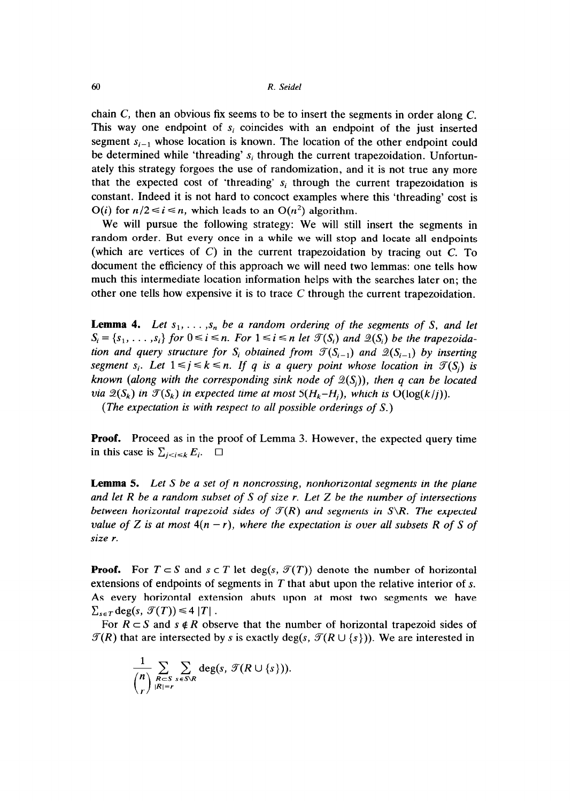chain C, then an obvious fix seems to be to insert the segments in order along C. This way one endpoint of  $s_i$  coincides with an endpoint of the just inserted segment  $s_{i-1}$  whose location is known. The location of the other endpoint could be determined while 'threading'  $s_i$  through the current trapezoidation. Unfortunately this strategy forgoes the use of randomization, and it is not true any more that the expected cost of 'threading'  $s_i$  through the current trapezoidation is constant. Indeed it is not hard to concoct examples where this 'threading' cost is  $O(i)$  for  $n/2 \le i \le n$ , which leads to an  $O(n^2)$  algorithm.

We will pursue the following strategy: We will still insert the segments in random order. But every once in a while we will stop and locate all endpoints (which are vertices of  $C$ ) in the current trapezoidation by tracing out  $C$ . To document the efficiency of this approach we will need two lemmas: one tells how much this intermediate location information helps with the searches later on; the other one tells how expensive it is to trace  $C$  through the current trapezoidation.

**Lemma 4.** Let  $s_1, \ldots, s_n$  be a random ordering of the segments of S, and let  $S_i = \{s_1, \ldots, s_i\}$  for  $0 \le i \le n$ . For  $1 \le i \le n$  let  $\mathcal{T}(S_i)$  and  $\mathcal{Q}(S_i)$  be the trapezoida*tion and query structure for S<sub>i</sub> obtained from*  $\mathcal{T}(S_{i-1})$  *and*  $\mathcal{Q}(S_{i-1})$  *by inserting segment*  $s_i$ . Let  $1 \le j \le k \le n$ . If q is a query point whose location in  $\mathcal{T}(S_i)$  is *known (along with the corresponding sink node of*  $\mathcal{Q}(S_i)$ *), then q can be located via*  $\mathcal{Q}(S_k)$  *in*  $\mathcal{T}(S_k)$  *in expected time at most*  $5(H_k-H_i)$ *, which is*  $O(log(k/i))$ *.* 

*(The expectation is with respect to all possible orderings of S.)* 

**Proof.** Proceed as in the proof of Lemma 3. However, the expected query time in this case is  $\sum_{j \leq i \leq k} E_i$ .  $\Box$ 

**Lemma 5.** *Let S be a set of n noncrossing, nonhorizontal segments in the plane and let R be a random subset of S of size r. Let Z be the number of intersections between horizontal trapezoid sides of*  $\mathcal{T}(R)$  *and segments in S\R. The expected value of Z is at most*  $4(n - r)$ , where the expectation is over all subsets R of S of *size r.* 

**Proof.** For  $T \subset S$  and  $s \in T$  let deg(s,  $\mathcal{T}(T)$ ) denote the number of horizontal extensions of endpoints of segments in *T* that abut upon the relative interior of s. As every horizontal extension abuts upon at most two segments we have  $\sum_{s \in T} \deg(s, \mathcal{T}(T)) \leq 4 |T|$ .

For  $R \subset S$  and  $s \notin R$  observe that the number of horizontal trapezoid sides of  $\mathcal{T}(R)$  that are intersected by s is exactly deg(s,  $\mathcal{T}(R \cup \{s\})$ ). We are interested in

$$
\frac{1}{\binom{n}{r}}\sum_{\substack{R\subset S\\ |R|=r}}\sum_{s\in S\setminus R}\deg(s,\ \mathcal{T}(R\cup\{s\})).
$$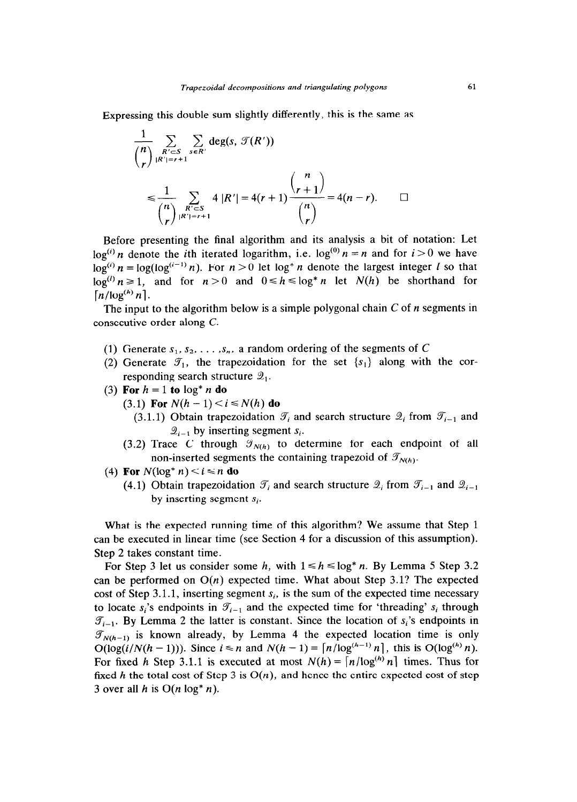Expressing this double sum slightly differently, this is the same as

$$
\frac{1}{\binom{n}{r}}\sum_{\substack{R'\subset S\\|R'|=r+1}}\sum_{\substack{s\in R'\\s\in S}}\deg(s,\ \mathcal{I}(R'))
$$
\n
$$
\leqslant \frac{1}{\binom{n}{r}}\sum_{\substack{R'\subset S\\|R'|=r+1}}4|R'|=4(r+1)\frac{\binom{n}{r+1}}{\binom{n}{r}}=4(n-r). \qquad \Box
$$

Before presenting the final algorithm and its analysis a bit of notation: Let  $log<sup>(i)</sup> n$  denote the *i*th iterated logarithm, i.e.  $log<sup>(0)</sup> n = n$  and for  $i > 0$  we have  $\log^{(i)} n = \log(\log^{(i-1)} n)$ . For  $n > 0$  let  $\log^* n$  denote the largest integer l so that  $\log^{(l)} n \ge 1$ , and for  $n > 0$  and  $0 \le h \le \log^* n$  let  $N(h)$  be shorthand for  $\lceil n/\log^{(h)} n \rceil$ .

The input to the algorithm below is a simple polygonal chain C of *n* segments in consecutive order along C.

- (1) Generate  $s_1, s_2, \ldots, s_n$ , a random ordering of the segments of C
- (2) Generate  $\mathcal{T}_1$ , the trapezoidation for the set  $\{s_1\}$  along with the corresponding search structure  $\mathcal{Q}_1$ .
- (3) For  $h = 1$  to  $\log^* n$  do
	- $(3.1)$  **For**  $N(h 1) < i \leq N(h)$  **do** 
		- (3.1.1) Obtain trapezoidation  $\mathcal{T}_i$  and search structure  $\mathcal{Q}_i$  from  $\mathcal{T}_{i-1}$  and  $\mathcal{Q}_{i-1}$  by inserting segment  $s_i$ .
	- (3.2) Trace C through  $\mathcal{T}_{N(h)}$  to determine for each endpoint of all non-inserted segments the containing trapezoid of  $\mathcal{T}_{N(h)}$ .
- $(4)$  **For**  $N(\log^* n) < i \leq n$  **do** 
	- (4.1) Obtain trapezoidation  $\mathcal{T}_i$  and search structure  $\mathcal{Q}_i$  from  $\mathcal{T}_{i-1}$  and  $\mathcal{Q}_{i-1}$ by inserting segment  $s_i$ .

What is the expected running time of this algorithm? We assume that Step 1 can be executed in linear time (see Section 4 for a discussion of this assumption). Step 2 takes constant time.

For Step 3 let us consider some *h*, with  $1 \le h \le \log^* n$ . By Lemma 5 Step 3.2 can be performed on  $O(n)$  expected time. What about Step 3.1? The expected cost of Step 3.1.1, inserting segment  $s_i$ , is the sum of the expected time necessary to locate  $s_i$ 's endpoints in  $\mathcal{T}_{i-1}$  and the expected time for 'threading'  $s_i$  through  $\mathcal{T}_{i-1}$ . By Lemma 2 the latter is constant. Since the location of  $s_i$ 's endpoints in  $\mathcal{T}_{N(h-1)}$  is known already, by Lemma 4 the expected location time is only  $O(log(i/N(h-1)))$ . Since  $i \le n$  and  $N(h-1) = \lfloor n/\log^{(h-1)} n \rfloor$ , this is  $O(log^{(h)} n)$ . For fixed *h* Step 3.1.1 is executed at most  $N(h) = \lfloor n/\log^{(h)} n \rfloor$  times. Thus for fixed *h* the total cost of Step 3 is  $O(n)$ , and hence the entire expected cost of step 3 over all *h* is  $O(n \log^* n)$ .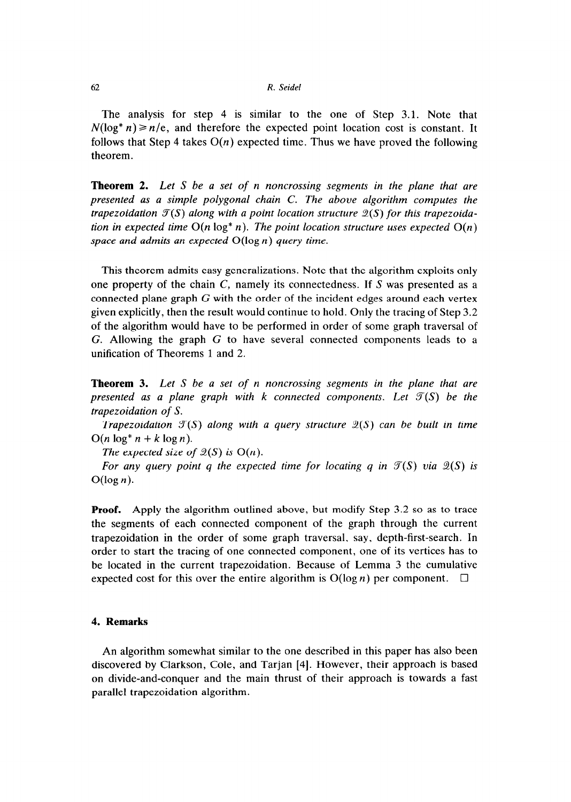#### *62 R. Seidel*

The analysis for step 4 is similar to the one of Step 3.1. Note that  $N(\log^* n) \ge n/e$ , and therefore the expected point location cost is constant. It follows that Step 4 takes  $O(n)$  expected time. Thus we have proved the following theorem.

**Theorem 2.** *Let S be a set of n noncrossing segments in the plane that are presented as a simple polygonal chain C. The above algorithm computes the trapezoidation*  $\mathcal{T}(S)$  along with a point location structure  $\mathcal{Q}(S)$  for this trapezoida*tion in expected time*  $O(n \log^* n)$ . *The point location structure uses expected*  $O(n)$ *space and admits an expected* O(log *n) query time.* 

This theorem admits easy generalizations. Note that the algorithm exploits only one property of the chain  $C$ , namely its connectedness. If S was presented as a connected plane graph G with the order of the incident edges around each vertex given explicitly, then the result would continue to hold. Only the tracing of Step 3.2 of the algorithm would have to be performed in order of some graph traversal of G. Allowing the graph G to have several connected components leads to a unification of Theorems 1 and 2.

**Theorem 3.** *Let S be a set of n noncrossing segments in the plane that are presented as a plane graph with k connected components. Let*  $\mathcal{T}(S)$  be the *trapezoidation of S.* 

*Trapezoidation*  $\mathcal{T}(S)$  along with a query structure  $\mathcal{Q}(S)$  can be built in time  $O(n \log^* n + k \log n)$ .

*The expected size of*  $2(S)$  *is O(n).* 

For any query point q the expected time for locating q in  $\mathcal{T}(S)$  via  $\mathcal{Q}(S)$  is  $O(\log n)$ .

**Proof.** Apply the algorithm outlined above, but modify Step 3.2 so as to trace the segments of each connected component of the graph through the current trapezoidation in the order of some graph traversal, say, depth-first-search. In order to start the tracing of one connected component, one of its vertices has to be located in the current trapezoidation. Because of Lemma 3 the cumulative expected cost for this over the entire algorithm is  $O(log n)$  per component.  $\square$ 

## *4.* **Remarks**

An algorithm somewhat similar to the one described in this paper has also been discovered by Clarkson, Cole, and Tarjan [4]. However, their approach is based on divide-and-conquer and the main thrust of their approach is towards a fast parallel trapezoidation algorithm.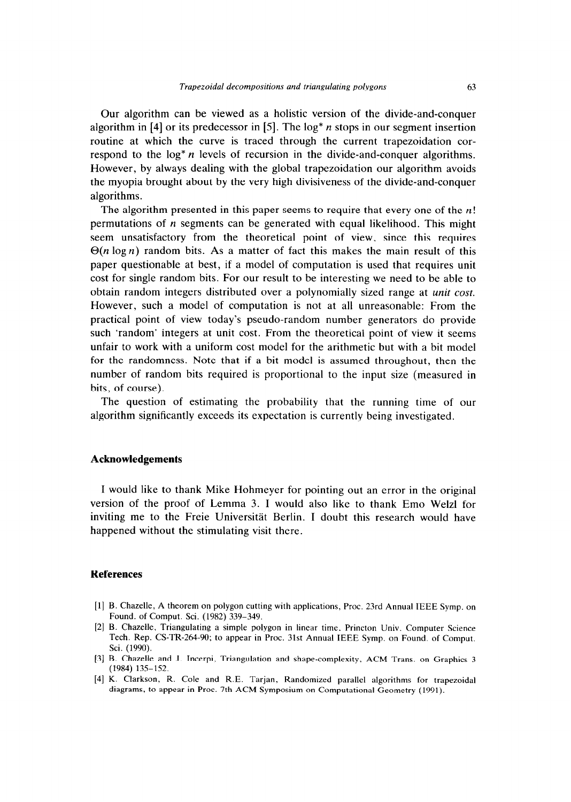Our algorithm can be viewed as a holistic version of the divide-and-conquer algorithm in [4] or its predecessor in [5]. The  $log^* n$  stops in our segment insertion routine at which the curve is traced through the current trapezoidation correspond to the  $log^* n$  levels of recursion in the divide-and-conquer algorithms. However, by always dealing with the global trapezoidation our algorithm avoids the myopia brought about by the very high divisiveness of the divide-and-conquer algorithms.

The algorithm presented in this paper seems to require that every one of the  $n!$ permutations of  $n$  segments can be generated with equal likelihood. This might seem unsatisfactory from the theoretical point of view, since this requires  $\Theta(n \log n)$  random bits. As a matter of fact this makes the main result of this paper questionable at best, if a model of computation is used that requires unit cost for single random bits. For our result to be interesting we need to be able to obtain random integers distributed over a polynomially sized range at unit *cost.*  However, such a model of computation is not at all unreasonable: From the practical point of view today's pseudo-random number generators do provide such 'random' integers at unit cost. From the theoretical point of view it seems unfair to work with a uniform cost model for the arithmetic but with a bit model for the randomness. Note that if a bit model is assumed throughout, then the number of random bits required is proportional to the input size (measured in bits, of course).

The question of estimating the probability that the running time of our algorithm significantly exceeds its expectation is currently being investigated.

### **Acknowledgements**

I would like to thank Mike Hohmeyer for pointing out an error in the original version of the proof of Lemma 3. I would also like to thank Emo Welzl for inviting me to the Freie Universität Berlin. I doubt this research would have happened without the stimulating visit there.

#### **References**

- [l] B. Chazelle, A theorem on polygon cutting with applications, Proc. 23rd Annual IEEE Symp. on Found. of Comput. Sci. (1982) 339-349.
- [2] B. Chazelle, Triangulating a simple polygon in linear time, Princton Univ. Computer Science Tech. Rep. CS-TR-264-90; to appear in Proc. 31st Annual IEEE Symp. on Found. of Comput. Sci. (1990).
- [3] B. Chazelle and J. Incerpi, Triangulation and shape-complexity, ACM Trans. on Graphics 3  $(1984)$  135-152.
- [4] K. Clarkson, R. Cole and R.E. Tarjan, Randomized parallel algorithms for trapezoidal diagrams, to appear in Proc. 7th ACM Symposium on Computational Geometry (1991).